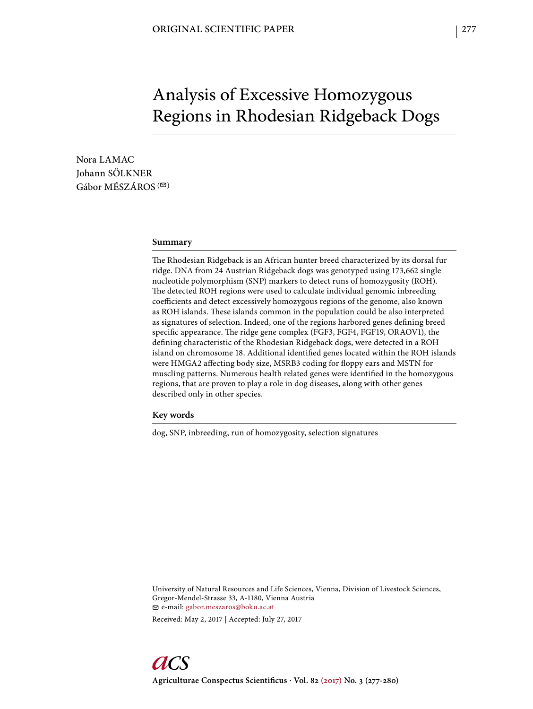# Analysis of Excessive Homozygous Regions in Rhodesian Ridgeback Dogs

Nora LAMAC Johann SÖLKNER Gábor MÉSZÁROS ( $\textcircled{2}$ )

#### **Summary**

The Rhodesian Ridgeback is an African hunter breed characterized by its dorsal fur ridge. DNA from 24 Austrian Ridgeback dogs was genotyped using 173,662 single nucleotide polymorphism (SNP) markers to detect runs of homozygosity (ROH). The detected ROH regions were used to calculate individual genomic inbreeding coefficients and detect excessively homozygous regions of the genome, also known as ROH islands. These islands common in the population could be also interpreted as signatures of selection. Indeed, one of the regions harbored genes defining breed specific appearance. The ridge gene complex (FGF3, FGF4, FGF19, ORAOV1), the defining characteristic of the Rhodesian Ridgeback dogs, were detected in a ROH island on chromosome 18. Additional identified genes located within the ROH islands were HMGA2 affecting body size, MSRB3 coding for floppy ears and MSTN for muscling patterns. Numerous health related genes were identified in the homozygous regions, that are proven to play a role in dog diseases, along with other genes described only in other species.

**Key words**

dog, SNP, inbreeding, run of homozygosity, selection signatures

University of Natural Resources and Life Sciences, Vienna, Division of Livestock Sciences, Gregor-Mendel-Strasse 33, A-1180, Vienna Austria e-mail: gabor.meszaros@boku.ac.at

Received: May 2, 2017 | Accepted: July 27, 2017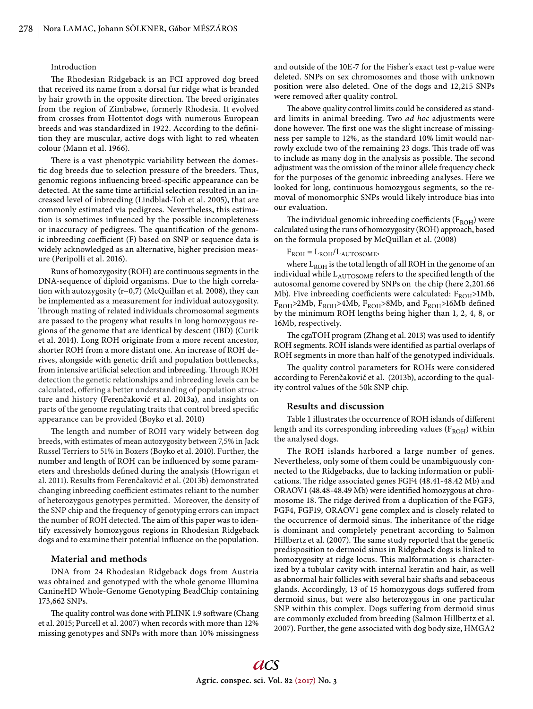#### Introduction

The Rhodesian Ridgeback is an FCI approved dog breed that received its name from a dorsal fur ridge what is branded by hair growth in the opposite direction. The breed originates from the region of Zimbabwe, formerly Rhodesia. It evolved from crosses from Hottentot dogs with numerous European breeds and was standardized in 1922. According to the definition they are muscular, active dogs with light to red wheaten colour (Mann et al. 1966).

There is a vast phenotypic variability between the domestic dog breeds due to selection pressure of the breeders. Thus, genomic regions influencing breed-specific appearance can be detected. At the same time artificial selection resulted in an increased level of inbreeding (Lindblad-Toh et al. 2005), that are commonly estimated via pedigrees. Nevertheless, this estimation is sometimes influenced by the possible incompleteness or inaccuracy of pedigrees. The quantification of the genomic inbreeding coefficient (F) based on SNP or sequence data is widely acknowledged as an alternative, higher precision measure (Peripolli et al. 2016).

Runs of homozygosity (ROH) are continuous segments in the DNA-sequence of diploid organisms. Due to the high correlation with autozygosity (r~0,7) (McQuillan et al. 2008), they can be implemented as a measurement for individual autozygosity. Through mating of related individuals chromosomal segments are passed to the progeny what results in long homozygous regions of the genome that are identical by descent (IBD) (Curik et al. 2014). Long ROH originate from a more recent ancestor, shorter ROH from a more distant one. An increase of ROH derives, alongside with genetic drift and population bottlenecks, from intensive artificial selection and inbreeding. Through ROH detection the genetic relationships and inbreeding levels can be calculated, offering a better understanding of population structure and history (Ferenčaković et al. 2013a), and insights on parts of the genome regulating traits that control breed specific appearance can be provided (Boyko et al. 2010)

The length and number of ROH vary widely between dog breeds, with estimates of mean autozygosity between 7,5% in Jack Russel Terriers to 51% in Boxers (Boyko et al. 2010). Further, the number and length of ROH can be influenced by some parameters and thresholds defined during the analysis (Howrigan et al. 2011). Results from Ferenčaković et al. (2013b) demonstrated changing inbreeding coefficient estimates reliant to the number of heterozygous genotypes permitted. Moreover, the density of the SNP chip and the frequency of genotyping errors can impact the number of ROH detected. The aim of this paper was to identify excessively homozygous regions in Rhodesian Ridgeback dogs and to examine their potential influence on the population.

### **Material and methods**

DNA from 24 Rhodesian Ridgeback dogs from Austria was obtained and genotyped with the whole genome Illumina CanineHD Whole-Genome Genotyping BeadChip containing 173,662 SNPs.

The quality control was done with PLINK 1.9 software (Chang et al. 2015; Purcell et al. 2007) when records with more than 12% missing genotypes and SNPs with more than 10% missingness

and outside of the 10E-7 for the Fisher's exact test p-value were deleted. SNPs on sex chromosomes and those with unknown position were also deleted. One of the dogs and 12,215 SNPs were removed after quality control.

The above quality control limits could be considered as standard limits in animal breeding. Two *ad hoc* adjustments were done however. The first one was the slight increase of missingness per sample to 12%, as the standard 10% limit would narrowly exclude two of the remaining 23 dogs. This trade off was to include as many dog in the analysis as possible. The second adjustment was the omission of the minor allele frequency check for the purposes of the genomic inbreeding analyses. Here we looked for long, continuous homozygous segments, so the removal of monomorphic SNPs would likely introduce bias into our evaluation.

The individual genomic inbreeding coefficients ( $F_{ROH}$ ) were calculated using the runs of homozygosity (ROH) approach, based on the formula proposed by McQuillan et al. (2008)

## $F_{ROH} = L_{ROH}/L_{AUTOSOME}$

where  $L_{ROH}$  is the total length of all ROH in the genome of an individual while  $L_{\text{AUTOSOME}}$  refers to the specified length of the autosomal genome covered by SNPs on the chip (here 2,201.66 Mb). Five inbreeding coefficients were calculated:  $F_{ROH}$ >1Mb,  $F_{ROH}$ >2Mb,  $F_{ROH}$ >4Mb,  $F_{ROH}$ >8Mb, and  $F_{ROH}$ >16Mb defined by the minimum ROH lengths being higher than 1, 2, 4, 8, or 16Mb, respectively.

The cgaTOH program (Zhang et al. 2013) was used to identify ROH segments. ROH islands were identified as partial overlaps of ROH segments in more than half of the genotyped individuals.

The quality control parameters for ROHs were considered according to Ferenčaković et al. (2013b), according to the quality control values of the 50k SNP chip.

## **Results and discussion**

Table 1 illustrates the occurrence of ROH islands of different length and its corresponding inbreeding values  $(F_{ROH})$  within the analysed dogs.

The ROH islands harbored a large number of genes. Nevertheless, only some of them could be unambiguously connected to the Ridgebacks, due to lacking information or publications. The ridge associated genes FGF4 (48.41-48.42 Mb) and ORAOV1 (48.48-48.49 Mb) were identified homozygous at chromosome 18. The ridge derived from a duplication of the FGF3, FGF4, FGF19, ORAOV1 gene complex and is closely related to the occurrence of dermoid sinus. The inheritance of the ridge is dominant and completely penetrant according to Salmon Hillbertz et al. (2007). The same study reported that the genetic predisposition to dermoid sinus in Ridgeback dogs is linked to homozygosity at ridge locus. This malformation is characterized by a tubular cavity with internal keratin and hair, as well as abnormal hair follicles with several hair shafts and sebaceous glands. Accordingly, 13 of 15 homozygous dogs suffered from dermoid sinus, but were also heterozygous in one particular SNP within this complex. Dogs suffering from dermoid sinus are commonly excluded from breeding (Salmon Hillbertz et al. 2007). Further, the gene associated with dog body size, HMGA2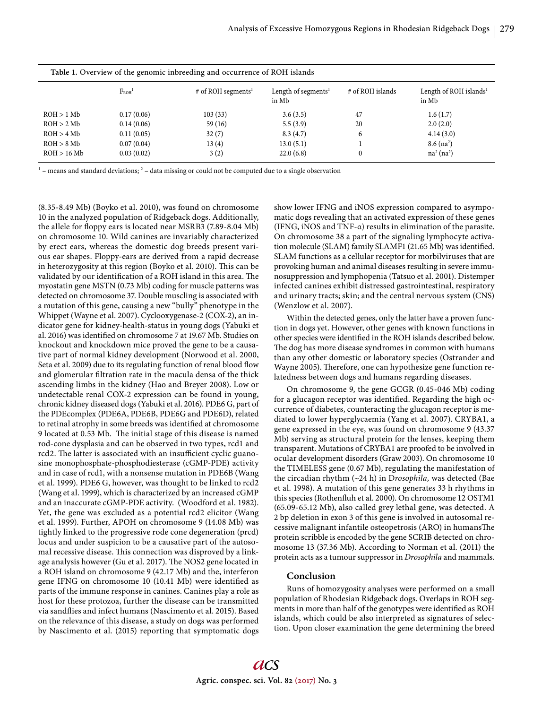| Table 1. Overview of the genomic inbreeding and occurrence of ROH islands |                        |                                |                                          |                  |                                             |
|---------------------------------------------------------------------------|------------------------|--------------------------------|------------------------------------------|------------------|---------------------------------------------|
|                                                                           | $F_{ROH}$ <sup>1</sup> | # of ROH segments <sup>1</sup> | Length of segments <sup>1</sup><br>in Mb | # of ROH islands | Length of ROH islands <sup>1</sup><br>in Mb |
| ROH > 1 Mb                                                                | 0.17(0.06)             | 103(33)                        | 3.6(3.5)                                 | 47               | 1.6(1.7)                                    |
| ROH > 2 Mb                                                                | 0.14(0.06)             | 59(16)                         | 5.5(3.9)                                 | 20               | 2.0(2.0)                                    |
| ROH > 4 Mb                                                                | 0.11(0.05)             | 32(7)                          | 8.3(4.7)                                 | 6                | 4.14(3.0)                                   |
| ROH > 8 Mb                                                                | 0.07(0.04)             | 13(4)                          | 13.0(5.1)                                |                  | $8.6$ (na <sup>2</sup> )                    |
| ROH > 16 Mb                                                               | 0.03(0.02)             | 3(2)                           | 22.0(6.8)                                | 0                | na <sup>2</sup> (na <sup>2</sup> )          |

 $1$  – means and standard deviations;  $2$  – data missing or could not be computed due to a single observation

(8.35-8.49 Mb) (Boyko et al. 2010), was found on chromosome 10 in the analyzed population of Ridgeback dogs. Additionally, the allele for floppy ears is located near MSRB3 (7.89-8.04 Mb) on chromosome 10. Wild canines are invariably characterized by erect ears, whereas the domestic dog breeds present various ear shapes. Floppy-ears are derived from a rapid decrease in heterozygosity at this region (Boyko et al. 2010). This can be validated by our identification of a ROH island in this area. The myostatin gene MSTN (0.73 Mb) coding for muscle patterns was detected on chromosome 37. Double muscling is associated with a mutation of this gene, causing a new "bully" phenotype in the Whippet (Wayne et al. 2007). Cyclooxygenase-2 (COX-2), an indicator gene for kidney-health-status in young dogs (Yabuki et al. 2016) was identified on chromosome 7 at 19.67 Mb. Studies on knockout and knockdown mice proved the gene to be a causative part of normal kidney development (Norwood et al. 2000, Seta et al. 2009) due to its regulating function of renal blood flow and glomerular filtration rate in the macula densa of the thick ascending limbs in the kidney (Hao and Breyer 2008). Low or undetectable renal COX-2 expression can be found in young, chronic kidney diseased dogs (Yabuki et al. 2016). PDE6 G, part of the PDEcomplex (PDE6A, PDE6B, PDE6G and PDE6D), related to retinal atrophy in some breeds was identified at chromosome 9 located at 0.53 Mb. The initial stage of this disease is named rod-cone dysplasia and can be observed in two types, rcd1 and rcd2. The latter is associated with an insufficient cyclic guanosine monophosphate-phosphodiesterase (cGMP-PDE) activity and in case of rcd1, with a nonsense mutation in PDE6B (Wang et al. 1999). PDE6 G, however, was thought to be linked to rcd2 (Wang et al. 1999), which is characterized by an increased cGMP and an inaccurate cGMP-PDE activity. (Woodford et al. 1982). Yet, the gene was excluded as a potential rcd2 elicitor (Wang et al. 1999). Further, APOH on chromosome 9 (14.08 Mb) was tightly linked to the progressive rode cone degeneration (prcd) locus and under suspicion to be a causative part of the autosomal recessive disease. This connection was disproved by a linkage analysis however (Gu et al. 2017). The NOS2 gene located in a ROH island on chromosome 9 (42.17 Mb) and the, interferon gene IFNG on chromosome 10 (10.41 Mb) were identified as parts of the immune response in canines. Canines play a role as host for these protozoa, further the disease can be transmitted via sandflies and infect humans (Nascimento et al. 2015). Based on the relevance of this disease, a study on dogs was performed by Nascimento et al. (2015) reporting that symptomatic dogs

show lower IFNG and iNOS expression compared to asympomatic dogs revealing that an activated expression of these genes (IFNG, iNOS and TNF-α) results in elimination of the parasite. On chromosome 38 a part of the signaling lymphocyte activation molecule (SLAM) family SLAMF1 (21.65 Mb) was identified. SLAM functions as a cellular receptor for morbilviruses that are provoking human and animal diseases resulting in severe immunosuppression and lymphopenia (Tatsuo et al. 2001). Distemper infected canines exhibit distressed gastrointestinal, respiratory and urinary tracts; skin; and the central nervous system (CNS) (Wenzlow et al. 2007).

Within the detected genes, only the latter have a proven function in dogs yet. However, other genes with known functions in other species were identified in the ROH islands described below. The dog has more disease syndromes in common with humans than any other domestic or laboratory species (Ostrander and Wayne 2005). Therefore, one can hypothesize gene function relatedness between dogs and humans regarding diseases.

On chromosome 9, the gene GCGR (0.45-046 Mb) coding for a glucagon receptor was identified. Regarding the high occurrence of diabetes, counteracting the glucagon receptor is mediated to lower hyperglycaemia (Yang et al. 2007). CRYBA1, a gene expressed in the eye, was found on chromosome 9 (43.37 Mb) serving as structural protein for the lenses, keeping them transparent. Mutations of CRYBA1 are proofed to be involved in ocular development disorders (Graw 2003). On chromosome 10 the TIMELESS gene (0.67 Mb), regulating the manifestation of the circadian rhythm (~24 h) in D*rosophila,* was detected (Bae et al. 1998). A mutation of this gene generates 33 h rhythms in this species (Rothenfluh et al. 2000). On chromosome 12 OSTM1 (65.09-65.12 Mb), also called grey lethal gene, was detected. A 2 bp deletion in exon 3 of this gene is involved in autosomal recessive malignant infantile osteopetrosis (ARO) in humansThe protein scribble is encoded by the gene SCRIB detected on chromosome 13 (37.36 Mb). According to Norman et al. (2011) the protein acts as a tumour suppressor in *Drosophila* and mammals.

## **Conclusion**

Runs of homozygosity analyses were performed on a small population of Rhodesian Ridgeback dogs. Overlaps in ROH segments in more than half of the genotypes were identified as ROH islands, which could be also interpreted as signatures of selection. Upon closer examination the gene determining the breed